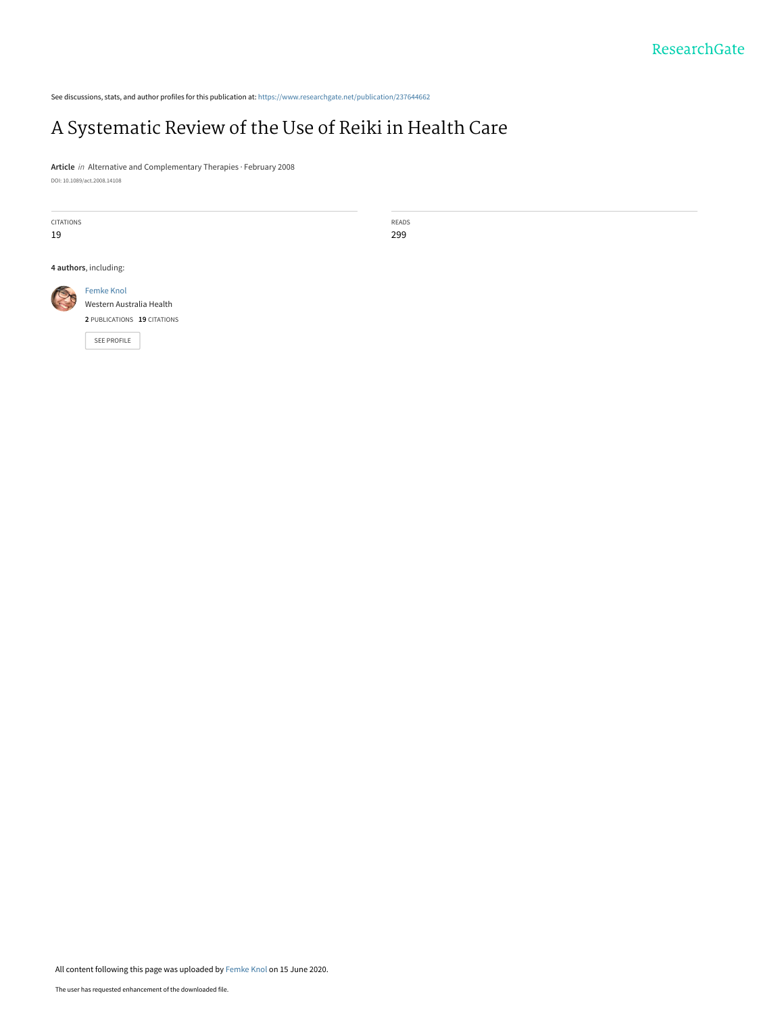See discussions, stats, and author profiles for this publication at: [https://www.researchgate.net/publication/237644662](https://www.researchgate.net/publication/237644662_A_Systematic_Review_of_the_Use_of_Reiki_in_Health_Care?enrichId=rgreq-96c0be98bd0c6a2d9384e8ff3c9595fe-XXX&enrichSource=Y292ZXJQYWdlOzIzNzY0NDY2MjtBUzo5MDI1Mjk3NTU5MjY1MjhAMTU5MjE5MTI3MDEwOA%3D%3D&el=1_x_2&_esc=publicationCoverPdf)

# [A Systematic Review of the Use of Reiki in Health Care](https://www.researchgate.net/publication/237644662_A_Systematic_Review_of_the_Use_of_Reiki_in_Health_Care?enrichId=rgreq-96c0be98bd0c6a2d9384e8ff3c9595fe-XXX&enrichSource=Y292ZXJQYWdlOzIzNzY0NDY2MjtBUzo5MDI1Mjk3NTU5MjY1MjhAMTU5MjE5MTI3MDEwOA%3D%3D&el=1_x_3&_esc=publicationCoverPdf)

**Article** in Alternative and Complementary Therapies · February 2008 DOI: 10.1089/act.2008.14108

CITATIONS 19

READS 299

**4 authors**, including:



[SEE PROFILE](https://www.researchgate.net/profile/Femke_Knol?enrichId=rgreq-96c0be98bd0c6a2d9384e8ff3c9595fe-XXX&enrichSource=Y292ZXJQYWdlOzIzNzY0NDY2MjtBUzo5MDI1Mjk3NTU5MjY1MjhAMTU5MjE5MTI3MDEwOA%3D%3D&el=1_x_7&_esc=publicationCoverPdf)

All content following this page was uploaded by [Femke Knol](https://www.researchgate.net/profile/Femke_Knol?enrichId=rgreq-96c0be98bd0c6a2d9384e8ff3c9595fe-XXX&enrichSource=Y292ZXJQYWdlOzIzNzY0NDY2MjtBUzo5MDI1Mjk3NTU5MjY1MjhAMTU5MjE5MTI3MDEwOA%3D%3D&el=1_x_10&_esc=publicationCoverPdf) on 15 June 2020.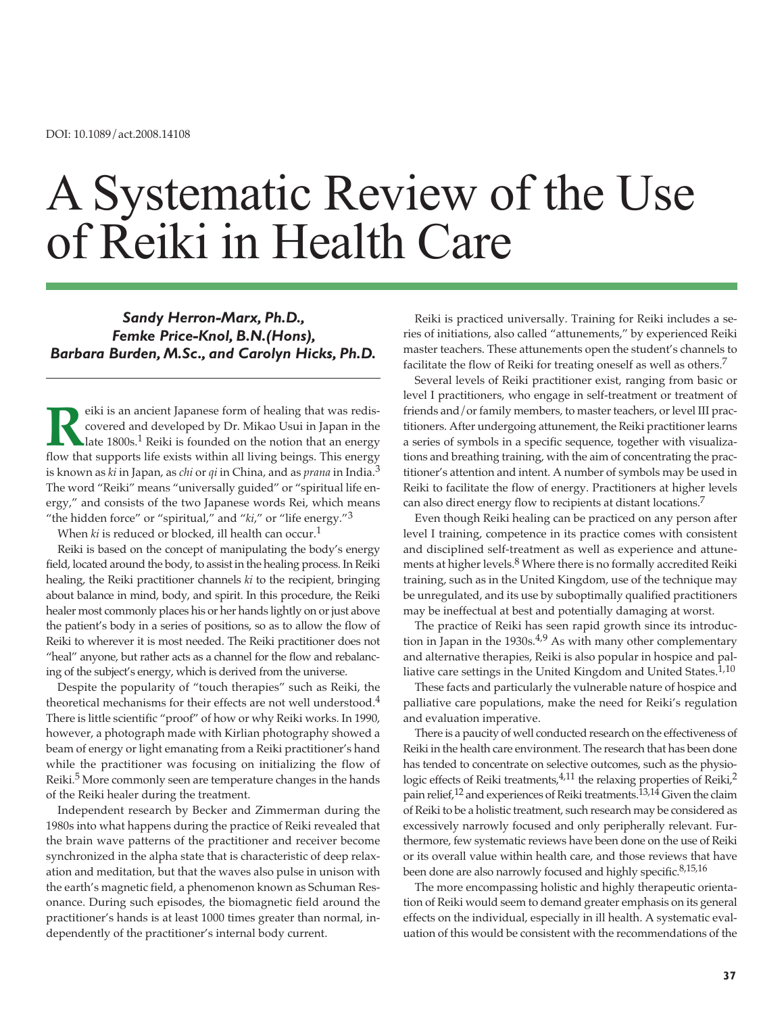# A Systematic Review of the Use of Reiki in Health Care

*Sandy Herron-Marx, Ph.D., Femke Price-Knol, B.N.(Hons), Barbara Burden, M.Sc., and Carolyn Hicks, Ph.D.*

**Reiki** is an ancient Japanese form of healing that was rediscovered and developed by Dr. Mikao Usui in Japan in the late 1800s.<sup>1</sup> Reiki is founded on the notion that an energy flow that supports life exists within all li covered and developed by Dr. Mikao Usui in Japan in the late 1800s. $^1$  Reiki is founded on the notion that an energy flow that supports life exists within all living beings. This energy is known as *ki* in Japan, as *chi* or *qi* in China, and as *prana* in India.3 The word "Reiki" means "universally guided" or "spiritual life energy," and consists of the two Japanese words Rei, which means "the hidden force" or "spiritual," and "*ki*," or "life energy."<sup>3</sup>

When *ki* is reduced or blocked, ill health can occur.<sup>1</sup>

Reiki is based on the concept of manipulating the body's energy field, located around the body, to assist in the healing process. In Reiki healing, the Reiki practitioner channels *ki* to the recipient, bringing about balance in mind, body, and spirit. In this procedure, the Reiki healer most commonly places his or her hands lightly on or just above the patient's body in a series of positions, so as to allow the flow of Reiki to wherever it is most needed. The Reiki practitioner does not "heal" anyone, but rather acts as a channel for the flow and rebalancing of the subject's energy, which is derived from the universe.

Despite the popularity of "touch therapies" such as Reiki, the theoretical mechanisms for their effects are not well understood.<sup>4</sup> There is little scientific "proof" of how or why Reiki works. In 1990, however, a photograph made with Kirlian photography showed a beam of energy or light emanating from a Reiki practitioner's hand while the practitioner was focusing on initializing the flow of Reiki.5 More commonly seen are temperature changes in the hands of the Reiki healer during the treatment.

Independent research by Becker and Zimmerman during the 1980s into what happens during the practice of Reiki revealed that the brain wave patterns of the practitioner and receiver become synchronized in the alpha state that is characteristic of deep relaxation and meditation, but that the waves also pulse in unison with the earth's magnetic field, a phenomenon known as Schuman Resonance. During such episodes, the biomagnetic field around the practitioner's hands is at least 1000 times greater than normal, independently of the practitioner's internal body current.

Reiki is practiced universally. Training for Reiki includes a series of initiations, also called "attunements," by experienced Reiki master teachers. These attunements open the student's channels to facilitate the flow of Reiki for treating oneself as well as others.<sup>7</sup>

Several levels of Reiki practitioner exist, ranging from basic or level I practitioners, who engage in self-treatment or treatment of friends and/or family members, to master teachers, or level III practitioners. After undergoing attunement, the Reiki practitioner learns a series of symbols in a specific sequence, together with visualizations and breathing training, with the aim of concentrating the practitioner's attention and intent. A number of symbols may be used in Reiki to facilitate the flow of energy. Practitioners at higher levels can also direct energy flow to recipients at distant locations.7

Even though Reiki healing can be practiced on any person after level I training, competence in its practice comes with consistent and disciplined self-treatment as well as experience and attunements at higher levels.<sup>8</sup> Where there is no formally accredited Reiki training, such as in the United Kingdom, use of the technique may be unregulated, and its use by suboptimally qualified practitioners may be ineffectual at best and potentially damaging at worst.

The practice of Reiki has seen rapid growth since its introduction in Japan in the 1930s. $4.9$  As with many other complementary and alternative therapies, Reiki is also popular in hospice and palliative care settings in the United Kingdom and United States.<sup>1,10</sup>

These facts and particularly the vulnerable nature of hospice and palliative care populations, make the need for Reiki's regulation and evaluation imperative.

There is a paucity of well conducted research on the effectiveness of Reiki in the health care environment. The research that has been done has tended to concentrate on selective outcomes, such as the physiologic effects of Reiki treatments,<sup>4,11</sup> the relaxing properties of Reiki,<sup>2</sup> pain relief,12 and experiences of Reiki treatments.13,14 Given the claim of Reiki to be a holistic treatment, such research may be considered as excessively narrowly focused and only peripherally relevant. Furthermore, few systematic reviews have been done on the use of Reiki or its overall value within health care, and those reviews that have been done are also narrowly focused and highly specific.<sup>8,15,16</sup>

The more encompassing holistic and highly therapeutic orientation of Reiki would seem to demand greater emphasis on its general effects on the individual, especially in ill health. A systematic evaluation of this would be consistent with the recommendations of the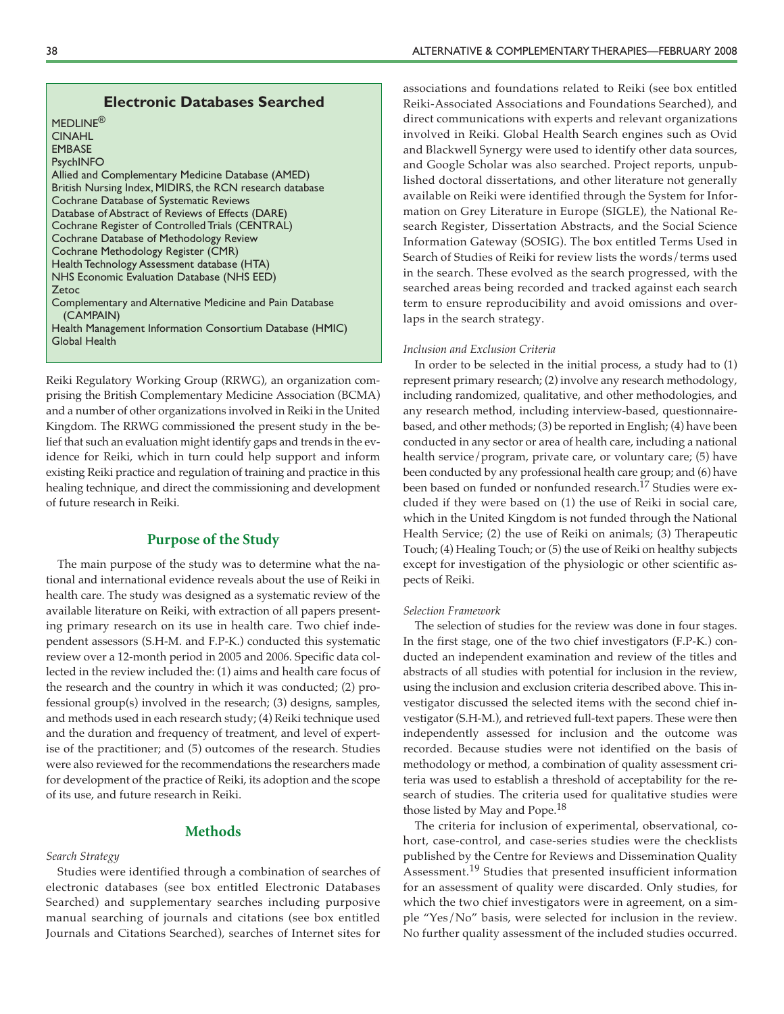#### **Electronic Databases Searched**

| MEDLINE <sup>®</sup>                                                  |
|-----------------------------------------------------------------------|
| <b>CINAHL</b>                                                         |
| <b>EMBASE</b>                                                         |
| PsychINFO                                                             |
| Allied and Complementary Medicine Database (AMED)                     |
| British Nursing Index, MIDIRS, the RCN research database              |
| Cochrane Database of Systematic Reviews                               |
| Database of Abstract of Reviews of Effects (DARE)                     |
| Cochrane Register of Controlled Trials (CENTRAL)                      |
| Cochrane Database of Methodology Review                               |
| Cochrane Methodology Register (CMR)                                   |
| Health Technology Assessment database (HTA)                           |
| NHS Economic Evaluation Database (NHS EED)                            |
| Zetoc                                                                 |
| Complementary and Alternative Medicine and Pain Database<br>(CAMPAIN) |
| Health Management Information Consortium Database (HMIC)              |
| Global Health                                                         |

Reiki Regulatory Working Group (RRWG), an organization comprising the British Complementary Medicine Association (BCMA) and a number of other organizations involved in Reiki in the United Kingdom. The RRWG commissioned the present study in the belief that such an evaluation might identify gaps and trends in the evidence for Reiki, which in turn could help support and inform existing Reiki practice and regulation of training and practice in this healing technique, and direct the commissioning and development of future research in Reiki.

#### **Purpose of the Study**

The main purpose of the study was to determine what the national and international evidence reveals about the use of Reiki in health care. The study was designed as a systematic review of the available literature on Reiki, with extraction of all papers presenting primary research on its use in health care. Two chief independent assessors (S.H-M. and F.P-K.) conducted this systematic review over a 12-month period in 2005 and 2006. Specific data collected in the review included the: (1) aims and health care focus of the research and the country in which it was conducted; (2) professional group(s) involved in the research; (3) designs, samples, and methods used in each research study; (4) Reiki technique used and the duration and frequency of treatment, and level of expertise of the practitioner; and (5) outcomes of the research. Studies were also reviewed for the recommendations the researchers made for development of the practice of Reiki, its adoption and the scope of its use, and future research in Reiki.

### **Methods**

#### *Search Strategy*

Studies were identified through a combination of searches of electronic databases (see box entitled Electronic Databases Searched) and supplementary searches including purposive manual searching of journals and citations (see box entitled Journals and Citations Searched), searches of Internet sites for associations and foundations related to Reiki (see box entitled Reiki-Associated Associations and Foundations Searched), and direct communications with experts and relevant organizations involved in Reiki. Global Health Search engines such as Ovid and Blackwell Synergy were used to identify other data sources, and Google Scholar was also searched. Project reports, unpublished doctoral dissertations, and other literature not generally available on Reiki were identified through the System for Information on Grey Literature in Europe (SIGLE), the National Research Register, Dissertation Abstracts, and the Social Science Information Gateway (SOSIG). The box entitled Terms Used in Search of Studies of Reiki for review lists the words/terms used in the search. These evolved as the search progressed, with the searched areas being recorded and tracked against each search term to ensure reproducibility and avoid omissions and overlaps in the search strategy.

#### *Inclusion and Exclusion Criteria*

In order to be selected in the initial process, a study had to (1) represent primary research; (2) involve any research methodology, including randomized, qualitative, and other methodologies, and any research method, including interview-based, questionnairebased, and other methods; (3) be reported in English; (4) have been conducted in any sector or area of health care, including a national health service/program, private care, or voluntary care; (5) have been conducted by any professional health care group; and (6) have been based on funded or nonfunded research.<sup>17</sup> Studies were excluded if they were based on (1) the use of Reiki in social care, which in the United Kingdom is not funded through the National Health Service; (2) the use of Reiki on animals; (3) Therapeutic Touch; (4) Healing Touch; or (5) the use of Reiki on healthy subjects except for investigation of the physiologic or other scientific aspects of Reiki.

#### *Selection Framework*

The selection of studies for the review was done in four stages. In the first stage, one of the two chief investigators (F.P-K.) conducted an independent examination and review of the titles and abstracts of all studies with potential for inclusion in the review, using the inclusion and exclusion criteria described above. This investigator discussed the selected items with the second chief investigator (S.H-M.), and retrieved full-text papers. These were then independently assessed for inclusion and the outcome was recorded. Because studies were not identified on the basis of methodology or method, a combination of quality assessment criteria was used to establish a threshold of acceptability for the research of studies. The criteria used for qualitative studies were those listed by May and Pope.<sup>18</sup>

The criteria for inclusion of experimental, observational, cohort, case-control, and case-series studies were the checklists published by the Centre for Reviews and Dissemination Quality Assessment.<sup>19</sup> Studies that presented insufficient information for an assessment of quality were discarded. Only studies, for which the two chief investigators were in agreement, on a simple "Yes/No" basis, were selected for inclusion in the review. No further quality assessment of the included studies occurred.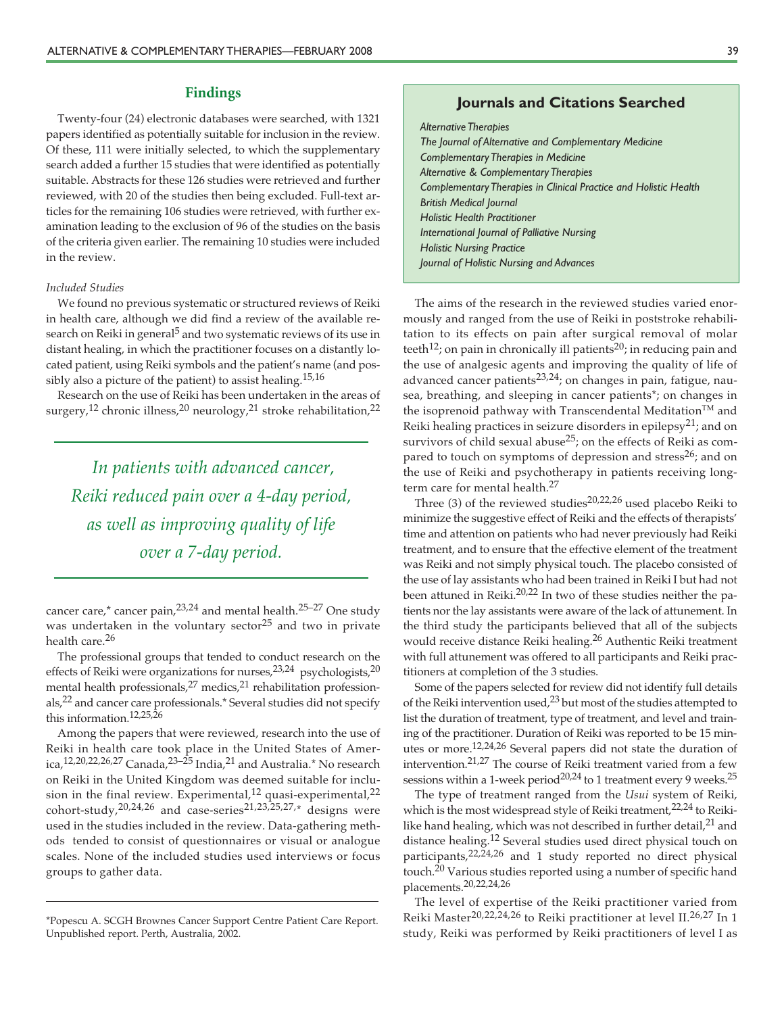#### **Findings**

Twenty-four (24) electronic databases were searched, with 1321 papers identified as potentially suitable for inclusion in the review. Of these, 111 were initially selected, to which the supplementary search added a further 15 studies that were identified as potentially suitable. Abstracts for these 126 studies were retrieved and further reviewed, with 20 of the studies then being excluded. Full-text articles for the remaining 106 studies were retrieved, with further examination leading to the exclusion of 96 of the studies on the basis of the criteria given earlier. The remaining 10 studies were included in the review.

#### *Included Studies*

We found no previous systematic or structured reviews of Reiki in health care, although we did find a review of the available research on Reiki in general<sup>5</sup> and two systematic reviews of its use in distant healing, in which the practitioner focuses on a distantly located patient, using Reiki symbols and the patient's name (and possibly also a picture of the patient) to assist healing.15,16

Research on the use of Reiki has been undertaken in the areas of surgery,<sup>12</sup> chronic illness,<sup>20</sup> neurology,<sup>21</sup> stroke rehabilitation,<sup>22</sup>

*In patients with advanced cancer, Reiki reduced pain over a 4-day period, as well as improving quality of life over a 7-day period.*

cancer care,\* cancer pain,23,24 and mental health.25–27 One study was undertaken in the voluntary sector<sup>25</sup> and two in private health care.<sup>26</sup>

The professional groups that tended to conduct research on the effects of Reiki were organizations for nurses,  $23,24$  psychologists,  $20$ mental health professionals, $^{27}$  medics, $^{21}$  rehabilitation professionals,22 and cancer care professionals.\* Several studies did not specify this information.12,25,26

Among the papers that were reviewed, research into the use of Reiki in health care took place in the United States of America,<sup>12,20,22,26,27</sup> Canada,<sup>23–25</sup> India,<sup>21</sup> and Australia.\* No research on Reiki in the United Kingdom was deemed suitable for inclusion in the final review. Experimental,<sup>12</sup> quasi-experimental,<sup>22</sup> cohort-study,<sup>20,24,26</sup> and case-series<sup>21,23,25,27,\*</sup> designs were used in the studies included in the review. Data-gathering methods tended to consist of questionnaires or visual or analogue scales. None of the included studies used interviews or focus groups to gather data.

# **Journals and Citations Searched**

*Alternative Therapies*

*The Journal of Alternative and Complementary Medicine Complementary Therapies in Medicine Alternative & Complementary Therapies Complementary Therapies in Clinical Practice and Holistic Health British Medical Journal Holistic Health Practitioner International Journal of Palliative Nursing Holistic Nursing Practice Journal of Holistic Nursing and Advances*

The aims of the research in the reviewed studies varied enormously and ranged from the use of Reiki in poststroke rehabilitation to its effects on pain after surgical removal of molar teeth<sup>12</sup>; on pain in chronically ill patients<sup>20</sup>; in reducing pain and the use of analgesic agents and improving the quality of life of advanced cancer patients<sup>23,24</sup>; on changes in pain, fatigue, nausea, breathing, and sleeping in cancer patients\*; on changes in the isoprenoid pathway with Transcendental Meditation<sup>TM</sup> and Reiki healing practices in seizure disorders in epilepsy<sup>21</sup>; and on survivors of child sexual abuse<sup>25</sup>; on the effects of Reiki as compared to touch on symptoms of depression and stress<sup>26</sup>; and on the use of Reiki and psychotherapy in patients receiving longterm care for mental health.<sup>27</sup>

Three (3) of the reviewed studies<sup>20,22,26</sup> used placebo Reiki to minimize the suggestive effect of Reiki and the effects of therapists' time and attention on patients who had never previously had Reiki treatment, and to ensure that the effective element of the treatment was Reiki and not simply physical touch. The placebo consisted of the use of lay assistants who had been trained in Reiki I but had not been attuned in Reiki.<sup>20,22</sup> In two of these studies neither the patients nor the lay assistants were aware of the lack of attunement. In the third study the participants believed that all of the subjects would receive distance Reiki healing.26 Authentic Reiki treatment with full attunement was offered to all participants and Reiki practitioners at completion of the 3 studies.

Some of the papers selected for review did not identify full details of the Reiki intervention used, $23$  but most of the studies attempted to list the duration of treatment, type of treatment, and level and training of the practitioner. Duration of Reiki was reported to be 15 minutes or more.12,24,26 Several papers did not state the duration of intervention.21,27 The course of Reiki treatment varied from a few sessions within a 1-week period<sup>20,24</sup> to 1 treatment every 9 weeks.<sup>25</sup>

The type of treatment ranged from the *Usui* system of Reiki, which is the most widespread style of Reiki treatment,<sup>22,24</sup> to Reikilike hand healing, which was not described in further detail,<sup>21</sup> and distance healing.<sup>12</sup> Several studies used direct physical touch on participants,  $22,24,26$  and 1 study reported no direct physical touch.<sup>20</sup> Various studies reported using a number of specific hand placements.20,22,24,26

The level of expertise of the Reiki practitioner varied from Reiki Master<sup>20,22,24,26</sup> to Reiki practitioner at level II.<sup>26,27</sup> In 1 study, Reiki was performed by Reiki practitioners of level I as

<sup>\*</sup>Popescu A. SCGH Brownes Cancer Support Centre Patient Care Report. Unpublished report. Perth, Australia, 2002.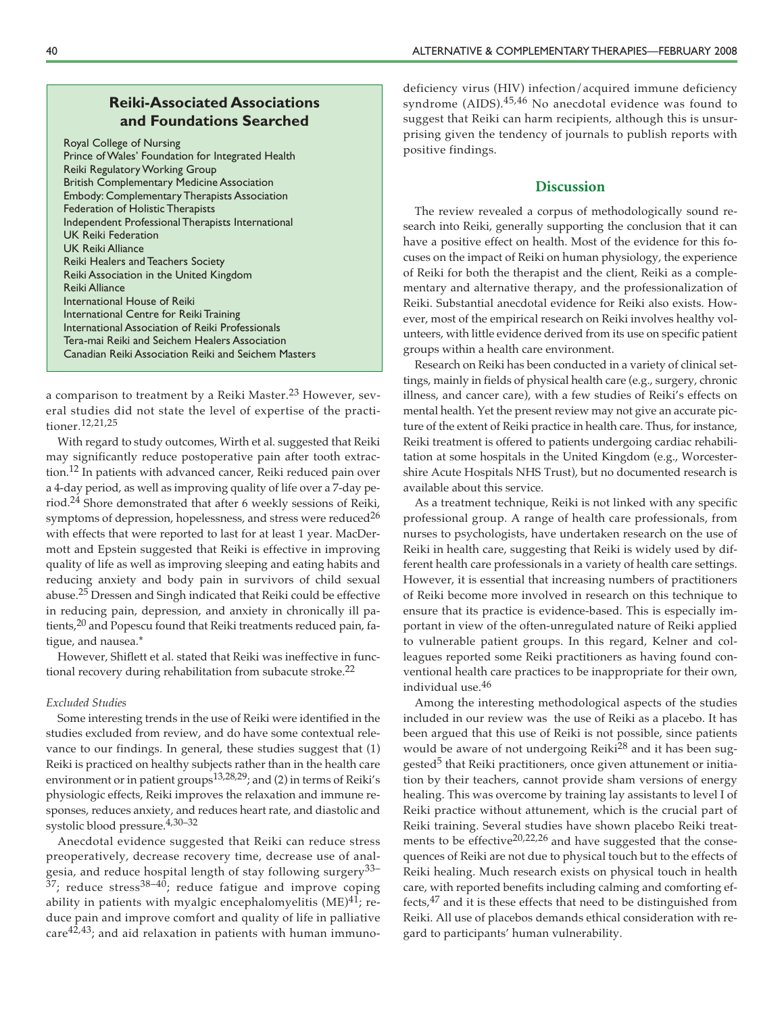# **Reiki-Associated Associations and Foundations Searched**

Royal College of Nursing Prince of Wales' Foundation for Integrated Health Reiki Regulatory Working Group British Complementary Medicine Association Embody: Complementary Therapists Association Federation of Holistic Therapists Independent Professional Therapists International UK Reiki Federation UK Reiki Alliance Reiki Healers and Teachers Society Reiki Association in the United Kingdom Reiki Alliance International House of Reiki International Centre for Reiki Training International Association of Reiki Professionals Tera-mai Reiki and Seichem Healers Association Canadian Reiki Association Reiki and Seichem Masters

a comparison to treatment by a Reiki Master.<sup>23</sup> However, several studies did not state the level of expertise of the practitioner.12,21,25

With regard to study outcomes, Wirth et al. suggested that Reiki may significantly reduce postoperative pain after tooth extraction.<sup>12</sup> In patients with advanced cancer, Reiki reduced pain over a 4-day period, as well as improving quality of life over a 7-day period.<sup>24</sup> Shore demonstrated that after 6 weekly sessions of Reiki, symptoms of depression, hopelessness, and stress were reduced<sup>26</sup> with effects that were reported to last for at least 1 year. MacDermott and Epstein suggested that Reiki is effective in improving quality of life as well as improving sleeping and eating habits and reducing anxiety and body pain in survivors of child sexual abuse.<sup>25</sup> Dressen and Singh indicated that Reiki could be effective in reducing pain, depression, and anxiety in chronically ill patients,<sup>20</sup> and Popescu found that Reiki treatments reduced pain, fatigue, and nausea.\*

However, Shiflett et al. stated that Reiki was ineffective in functional recovery during rehabilitation from subacute stroke.<sup>22</sup>

#### *Excluded Studies*

Some interesting trends in the use of Reiki were identified in the studies excluded from review, and do have some contextual relevance to our findings. In general, these studies suggest that (1) Reiki is practiced on healthy subjects rather than in the health care environment or in patient groups<sup>13,28,29</sup>; and (2) in terms of Reiki's physiologic effects, Reiki improves the relaxation and immune responses, reduces anxiety, and reduces heart rate, and diastolic and systolic blood pressure.4,30–32

Anecdotal evidence suggested that Reiki can reduce stress preoperatively, decrease recovery time, decrease use of analgesia, and reduce hospital length of stay following surgery<sup>33–</sup>  $37$ ; reduce stress $38-40$ ; reduce fatigue and improve coping ability in patients with myalgic encephalomyelitis (ME) $4\overline{1}$ ; reduce pain and improve comfort and quality of life in palliative care $42,43$ ; and aid relaxation in patients with human immunodeficiency virus (HIV) infection/acquired immune deficiency syndrome (AIDS).<sup>45,46</sup> No anecdotal evidence was found to suggest that Reiki can harm recipients, although this is unsurprising given the tendency of journals to publish reports with positive findings.

#### **Discussion**

The review revealed a corpus of methodologically sound research into Reiki, generally supporting the conclusion that it can have a positive effect on health. Most of the evidence for this focuses on the impact of Reiki on human physiology, the experience of Reiki for both the therapist and the client, Reiki as a complementary and alternative therapy, and the professionalization of Reiki. Substantial anecdotal evidence for Reiki also exists. However, most of the empirical research on Reiki involves healthy volunteers, with little evidence derived from its use on specific patient groups within a health care environment.

Research on Reiki has been conducted in a variety of clinical settings, mainly in fields of physical health care (e.g., surgery, chronic illness, and cancer care), with a few studies of Reiki's effects on mental health. Yet the present review may not give an accurate picture of the extent of Reiki practice in health care. Thus, for instance, Reiki treatment is offered to patients undergoing cardiac rehabilitation at some hospitals in the United Kingdom (e.g., Worcestershire Acute Hospitals NHS Trust), but no documented research is available about this service.

As a treatment technique, Reiki is not linked with any specific professional group. A range of health care professionals, from nurses to psychologists, have undertaken research on the use of Reiki in health care, suggesting that Reiki is widely used by different health care professionals in a variety of health care settings. However, it is essential that increasing numbers of practitioners of Reiki become more involved in research on this technique to ensure that its practice is evidence-based. This is especially important in view of the often-unregulated nature of Reiki applied to vulnerable patient groups. In this regard, Kelner and colleagues reported some Reiki practitioners as having found conventional health care practices to be inappropriate for their own, individual use.<sup>46</sup>

Among the interesting methodological aspects of the studies included in our review was the use of Reiki as a placebo. It has been argued that this use of Reiki is not possible, since patients would be aware of not undergoing Reiki<sup>28</sup> and it has been suggested<sup>5</sup> that Reiki practitioners, once given attunement or initiation by their teachers, cannot provide sham versions of energy healing. This was overcome by training lay assistants to level I of Reiki practice without attunement, which is the crucial part of Reiki training. Several studies have shown placebo Reiki treatments to be effective<sup>20,22,26</sup> and have suggested that the consequences of Reiki are not due to physical touch but to the effects of Reiki healing. Much research exists on physical touch in health care, with reported benefits including calming and comforting effects,<sup>47</sup> and it is these effects that need to be distinguished from Reiki. All use of placebos demands ethical consideration with regard to participants' human vulnerability.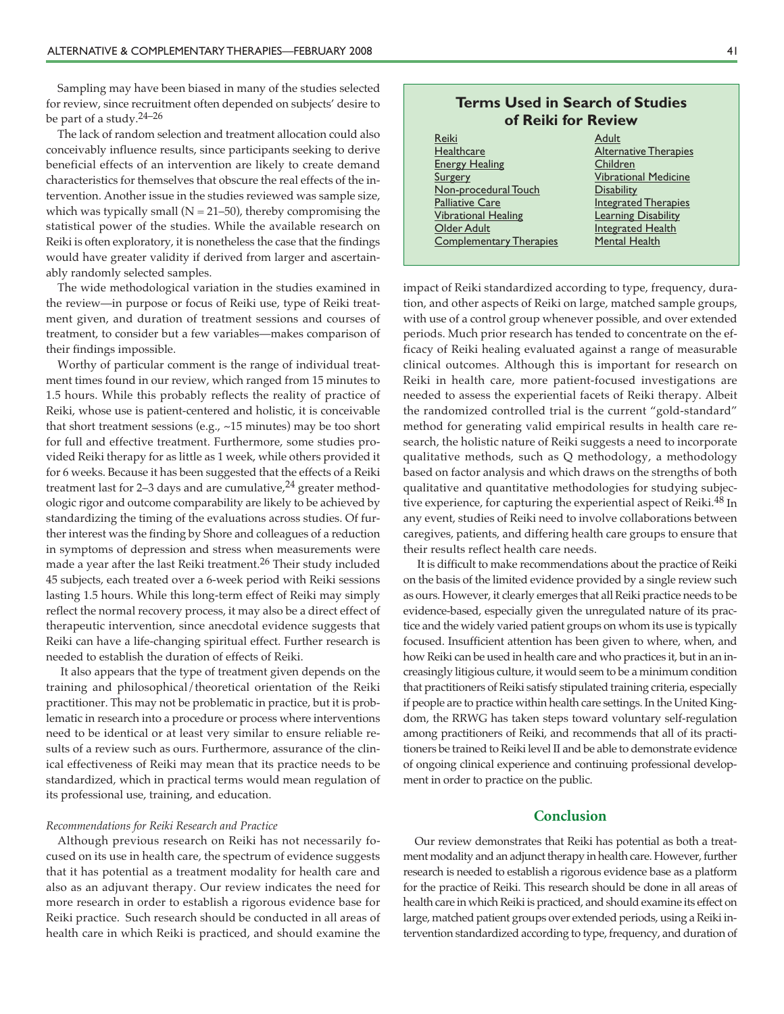Sampling may have been biased in many of the studies selected for review, since recruitment often depended on subjects' desire to be part of a study.24–26

The lack of random selection and treatment allocation could also conceivably influence results, since participants seeking to derive beneficial effects of an intervention are likely to create demand characteristics for themselves that obscure the real effects of the intervention. Another issue in the studies reviewed was sample size, which was typically small ( $N = 21-50$ ), thereby compromising the statistical power of the studies. While the available research on Reiki is often exploratory, it is nonetheless the case that the findings would have greater validity if derived from larger and ascertainably randomly selected samples.

The wide methodological variation in the studies examined in the review—in purpose or focus of Reiki use, type of Reiki treatment given, and duration of treatment sessions and courses of treatment, to consider but a few variables—makes comparison of their findings impossible.

Worthy of particular comment is the range of individual treatment times found in our review, which ranged from 15 minutes to 1.5 hours. While this probably reflects the reality of practice of Reiki, whose use is patient-centered and holistic, it is conceivable that short treatment sessions (e.g., ~15 minutes) may be too short for full and effective treatment. Furthermore, some studies provided Reiki therapy for as little as 1 week, while others provided it for 6 weeks. Because it has been suggested that the effects of a Reiki treatment last for 2–3 days and are cumulative, $24$  greater methodologic rigor and outcome comparability are likely to be achieved by standardizing the timing of the evaluations across studies. Of further interest was the finding by Shore and colleagues of a reduction in symptoms of depression and stress when measurements were made a year after the last Reiki treatment.<sup>26</sup> Their study included 45 subjects, each treated over a 6-week period with Reiki sessions lasting 1.5 hours. While this long-term effect of Reiki may simply reflect the normal recovery process, it may also be a direct effect of therapeutic intervention, since anecdotal evidence suggests that Reiki can have a life-changing spiritual effect. Further research is needed to establish the duration of effects of Reiki.

It also appears that the type of treatment given depends on the training and philosophical/theoretical orientation of the Reiki practitioner. This may not be problematic in practice, but it is problematic in research into a procedure or process where interventions need to be identical or at least very similar to ensure reliable results of a review such as ours. Furthermore, assurance of the clinical effectiveness of Reiki may mean that its practice needs to be standardized, which in practical terms would mean regulation of its professional use, training, and education.

#### *Recommendations for Reiki Research and Practice*

Although previous research on Reiki has not necessarily focused on its use in health care, the spectrum of evidence suggests that it has potential as a treatment modality for health care and also as an adjuvant therapy. Our review indicates the need for more research in order to establish a rigorous evidence base for Reiki practice. Such research should be conducted in all areas of health care in which Reiki is practiced, and should examine the

# **Terms Used in Search of Studies of Reiki for Review**

Reiki **Healthcare Energy Healing Surgery** Non-procedural Touch Palliative Care Vibrational Healing **Older Adult** Complementary Therapies Adult Alternative Therapies Children Vibrational Medicine **Disability** Integrated Therapies **Learning Disability** Integrated Health Mental Health

impact of Reiki standardized according to type, frequency, duration, and other aspects of Reiki on large, matched sample groups, with use of a control group whenever possible, and over extended periods. Much prior research has tended to concentrate on the efficacy of Reiki healing evaluated against a range of measurable clinical outcomes. Although this is important for research on Reiki in health care, more patient-focused investigations are needed to assess the experiential facets of Reiki therapy. Albeit the randomized controlled trial is the current "gold-standard" method for generating valid empirical results in health care research, the holistic nature of Reiki suggests a need to incorporate qualitative methods, such as Q methodology, a methodology based on factor analysis and which draws on the strengths of both qualitative and quantitative methodologies for studying subjective experience, for capturing the experiential aspect of Reiki.<sup>48</sup> In any event, studies of Reiki need to involve collaborations between caregives, patients, and differing health care groups to ensure that their results reflect health care needs.

It is difficult to make recommendations about the practice of Reiki on the basis of the limited evidence provided by a single review such as ours. However, it clearly emerges that all Reiki practice needs to be evidence-based, especially given the unregulated nature of its practice and the widely varied patient groups on whom its use is typically focused. Insufficient attention has been given to where, when, and how Reiki can be used in health care and who practices it, but in an increasingly litigious culture, it would seem to be a minimum condition that practitioners of Reiki satisfy stipulated training criteria, especially if people are to practice within health care settings. In the United Kingdom, the RRWG has taken steps toward voluntary self-regulation among practitioners of Reiki, and recommends that all of its practitioners be trained to Reiki level II and be able to demonstrate evidence of ongoing clinical experience and continuing professional development in order to practice on the public.

# **Conclusion**

Our review demonstrates that Reiki has potential as both a treatment modality and an adjunct therapy in health care. However, further research is needed to establish a rigorous evidence base as a platform for the practice of Reiki. This research should be done in all areas of health care in which Reiki is practiced, and should examine its effect on large, matched patient groups over extended periods, using a Reiki intervention standardized according to type, frequency, and duration of